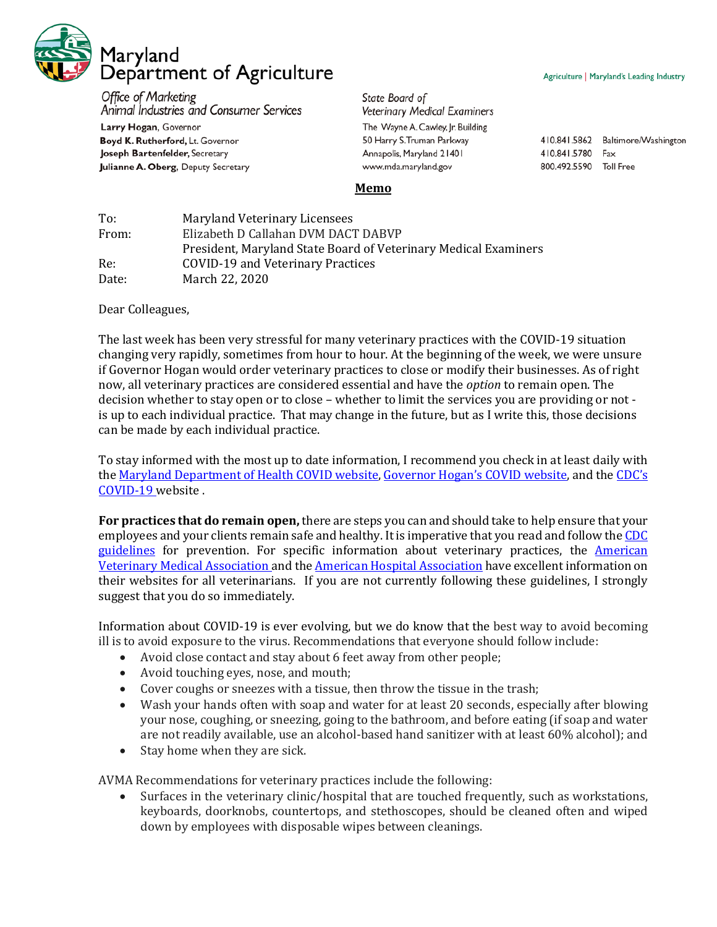

**Office of Marketing** Animal Industries and Consumer Services

Larry Hogan, Governor Boyd K. Rutherford, Lt. Governor Joseph Bartenfelder, Secretary Julianne A. Oberg, Deputy Secretary

State Board of **Veterinary Medical Examiners** The Wayne A. Cawley, Jr. Building 50 Harry S. Truman Parkway Annapolis, Maryland 21401 www.mda.maryland.gov

410.841.5862 Baltimore/Washington 410.841.5780 Fax

800.492.5590 Toll Free

**Memo**

| To:   | Maryland Veterinary Licensees                                   |
|-------|-----------------------------------------------------------------|
| From: | Elizabeth D Callahan DVM DACT DABVP                             |
|       | President, Maryland State Board of Veterinary Medical Examiners |
| Re:   | COVID-19 and Veterinary Practices                               |
| Date: | March 22, 2020                                                  |

Dear Colleagues,

The last week has been very stressful for many veterinary practices with the COVID-19 situation changing very rapidly, sometimes from hour to hour. At the beginning of the week, we were unsure if Governor Hogan would order veterinary practices to close or modify their businesses. As of right now, all veterinary practices are considered essential and have the *option* to remain open. The decision whether to stay open or to close – whether to limit the services you are providing or not is up to each individual practice. That may change in the future, but as I write this, those decisions can be made by each individual practice.

To stay informed with the most up to date information, I recommend you check in at least daily with the [Maryland Department of Health COVID website,](https://coronavirus.maryland.gov/) [Governor Hogan's COVID website,](https://governor.maryland.gov/coronavirus/) and th[e CDC's](https://www.cdc.gov/coronavirus/2019-ncov/prepare/prevention.html)  [COVID-19 w](https://www.cdc.gov/coronavirus/2019-ncov/prepare/prevention.html)ebsite .

**For practices that do remain open,** there are steps you can and should take to help ensure that your employees and your clients remain safe and healthy. It is imperative that you read and follow the [CDC](https://www.cdc.gov/coronavirus/2019-ncov/prepare/index.html)  [guidelines](https://www.cdc.gov/coronavirus/2019-ncov/prepare/index.html) for prevention. For specific information about veterinary practices, the **American** [Veterinary Medical Association a](https://www.avma.org/resources-tools/animal-health-and-welfare/covid-19)nd the [American Hospital Association](https://www.aha.org/2020-01-22-updates-and-resources-novel-coronavirus-2019-cov) have excellent information on their websites for all veterinarians. If you are not currently following these guidelines, I strongly suggest that you do so immediately.

Information about COVID-19 is ever evolving, but we do know that the best way to avoid becoming ill is to avoid exposure to the virus. Recommendations that everyone should follow include:

- Avoid close contact and stay about 6 feet away from other people;
- Avoid touching eyes, nose, and mouth;
- Cover coughs or sneezes with a tissue, then throw the tissue in the trash;
- Wash your hands often with soap and water for at least 20 seconds, especially after blowing your nose, coughing, or sneezing, going to the bathroom, and before eating (if soap and water are not readily available, use an alcohol-based hand sanitizer with at least 60% alcohol); and
- Stay home when they are sick.

AVMA Recommendations for veterinary practices include the following:

• Surfaces in the veterinary clinic/hospital that are touched frequently, such as workstations, keyboards, doorknobs, countertops, and stethoscopes, should be cleaned often and wiped down by employees with disposable wipes between cleanings.

## Agriculture | Maryland's Leading Industry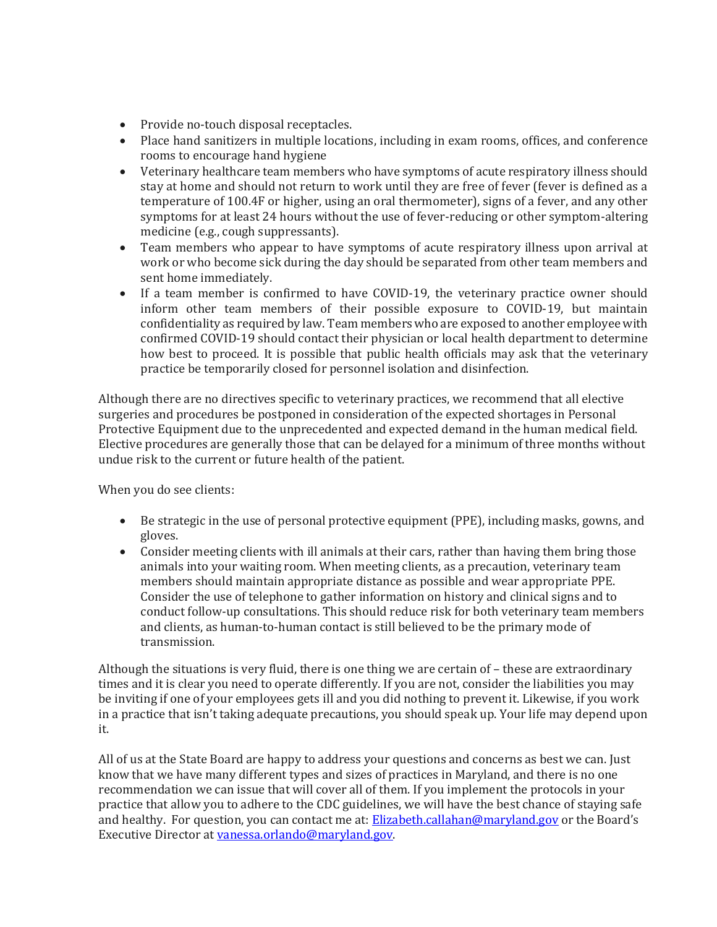- Provide no-touch disposal receptacles.
- Place hand sanitizers in multiple locations, including in exam rooms, offices, and conference rooms to encourage hand hygiene
- Veterinary healthcare team members who have symptoms of acute respiratory illness should stay at home and should not return to work until they are free of fever (fever is defined as a temperature of 100.4F or higher, using an oral thermometer), signs of a fever, and any other symptoms for at least 24 hours without the use of fever-reducing or other symptom-altering medicine (e.g., cough suppressants).
- Team members who appear to have symptoms of acute respiratory illness upon arrival at work or who become sick during the day should be separated from other team members and sent home immediately.
- If a team member is confirmed to have COVID-19, the veterinary practice owner should inform other team members of their possible exposure to COVID-19, but maintain confidentiality as required by law. Team members who are exposed to another employee with confirmed COVID-19 should contact their physician or local health department to determine how best to proceed. It is possible that public health officials may ask that the veterinary practice be temporarily closed for personnel isolation and disinfection.

Although there are no directives specific to veterinary practices, we recommend that all elective surgeries and procedures be postponed in consideration of the expected shortages in Personal Protective Equipment due to the unprecedented and expected demand in the human medical field. Elective procedures are generally those that can be delayed for a minimum of three months without undue risk to the current or future health of the patient.

When you do see clients:

- Be strategic in the use of personal protective equipment (PPE), including masks, gowns, and gloves.
- Consider meeting clients with ill animals at their cars, rather than having them bring those animals into your waiting room. When meeting clients, as a precaution, veterinary team members should maintain appropriate distance as possible and wear appropriate PPE. Consider the use of telephone to gather information on history and clinical signs and to conduct follow-up consultations. This should reduce risk for both veterinary team members and clients, as human-to-human contact is still believed to be the primary mode of transmission.

Although the situations is very fluid, there is one thing we are certain of – these are extraordinary times and it is clear you need to operate differently. If you are not, consider the liabilities you may be inviting if one of your employees gets ill and you did nothing to prevent it. Likewise, if you work in a practice that isn't taking adequate precautions, you should speak up. Your life may depend upon it.

All of us at the State Board are happy to address your questions and concerns as best we can. Just know that we have many different types and sizes of practices in Maryland, and there is no one recommendation we can issue that will cover all of them. If you implement the protocols in your practice that allow you to adhere to the CDC guidelines, we will have the best chance of staying safe and healthy. For question, you can contact me at: [Elizabeth.callahan@maryland.gov](mailto:Elizabeth.callahan@maryland.gov) or the Board's Executive Director a[t vanessa.orlando@maryland.gov.](mailto:vanessa.orlando@maryland.gov)